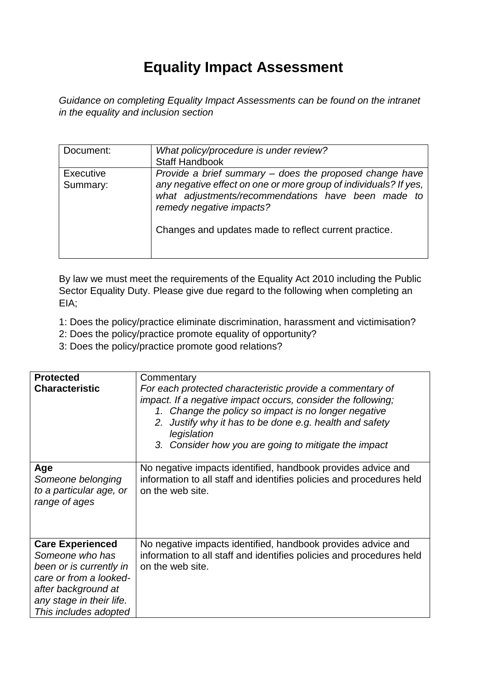## **Equality Impact Assessment**

*Guidance on completing Equality Impact Assessments can be found on the intranet in the equality and inclusion section* 

| Document:                    | What policy/procedure is under review?<br><b>Staff Handbook</b>                                                                                                                                                                                                        |
|------------------------------|------------------------------------------------------------------------------------------------------------------------------------------------------------------------------------------------------------------------------------------------------------------------|
| <b>Executive</b><br>Summary: | Provide a brief summary – does the proposed change have<br>any negative effect on one or more group of individuals? If yes,<br>what adjustments/recommendations have been made to<br>remedy negative impacts?<br>Changes and updates made to reflect current practice. |

By law we must meet the requirements of the Equality Act 2010 including the Public Sector Equality Duty. Please give due regard to the following when completing an EIA;

- 1: Does the policy/practice eliminate discrimination, harassment and victimisation?
- 2: Does the policy/practice promote equality of opportunity?
- 3: Does the policy/practice promote good relations?

| <b>Protected</b><br><b>Characteristic</b>                                                                                                                                   | Commentary<br>For each protected characteristic provide a commentary of<br>impact. If a negative impact occurs, consider the following;<br>1. Change the policy so impact is no longer negative<br>Justify why it has to be done e.g. health and safety<br>2.<br>legislation<br>3. Consider how you are going to mitigate the impact |
|-----------------------------------------------------------------------------------------------------------------------------------------------------------------------------|--------------------------------------------------------------------------------------------------------------------------------------------------------------------------------------------------------------------------------------------------------------------------------------------------------------------------------------|
| Age<br>Someone belonging<br>to a particular age, or<br>range of ages                                                                                                        | No negative impacts identified, handbook provides advice and<br>information to all staff and identifies policies and procedures held<br>on the web site.                                                                                                                                                                             |
| <b>Care Experienced</b><br>Someone who has<br>been or is currently in<br>care or from a looked-<br>after background at<br>any stage in their life.<br>This includes adopted | No negative impacts identified, handbook provides advice and<br>information to all staff and identifies policies and procedures held<br>on the web site.                                                                                                                                                                             |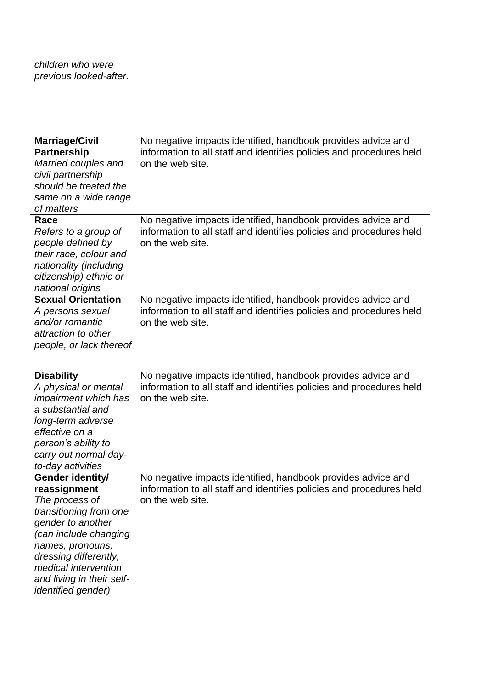| children who were           |                                                                      |
|-----------------------------|----------------------------------------------------------------------|
| previous looked-after.      |                                                                      |
|                             |                                                                      |
|                             |                                                                      |
|                             |                                                                      |
|                             |                                                                      |
|                             |                                                                      |
| <b>Marriage/Civil</b>       | No negative impacts identified, handbook provides advice and         |
| <b>Partnership</b>          | information to all staff and identifies policies and procedures held |
| Married couples and         | on the web site.                                                     |
| civil partnership           |                                                                      |
| should be treated the       |                                                                      |
| same on a wide range        |                                                                      |
| of matters                  |                                                                      |
| Race                        | No negative impacts identified, handbook provides advice and         |
| Refers to a group of        | information to all staff and identifies policies and procedures held |
| people defined by           | on the web site.                                                     |
| their race, colour and      |                                                                      |
| nationality (including      |                                                                      |
| citizenship) ethnic or      |                                                                      |
| national origins            |                                                                      |
| <b>Sexual Orientation</b>   | No negative impacts identified, handbook provides advice and         |
| A persons sexual            | information to all staff and identifies policies and procedures held |
| and/or romantic             | on the web site.                                                     |
| attraction to other         |                                                                      |
| people, or lack thereof     |                                                                      |
|                             |                                                                      |
|                             |                                                                      |
| <b>Disability</b>           | No negative impacts identified, handbook provides advice and         |
| A physical or mental        | information to all staff and identifies policies and procedures held |
| <i>impairment which has</i> | on the web site.                                                     |
| a substantial and           |                                                                      |
| long-term adverse           |                                                                      |
| effective on a              |                                                                      |
| person's ability to         |                                                                      |
| carry out normal day-       |                                                                      |
| to-day activities           |                                                                      |
| Gender identity/            | No negative impacts identified, handbook provides advice and         |
| reassignment                | information to all staff and identifies policies and procedures held |
| The process of              | on the web site.                                                     |
| transitioning from one      |                                                                      |
| gender to another           |                                                                      |
| (can include changing       |                                                                      |
| names, pronouns,            |                                                                      |
| dressing differently,       |                                                                      |
| medical intervention        |                                                                      |
| and living in their self-   |                                                                      |
| <i>identified gender)</i>   |                                                                      |